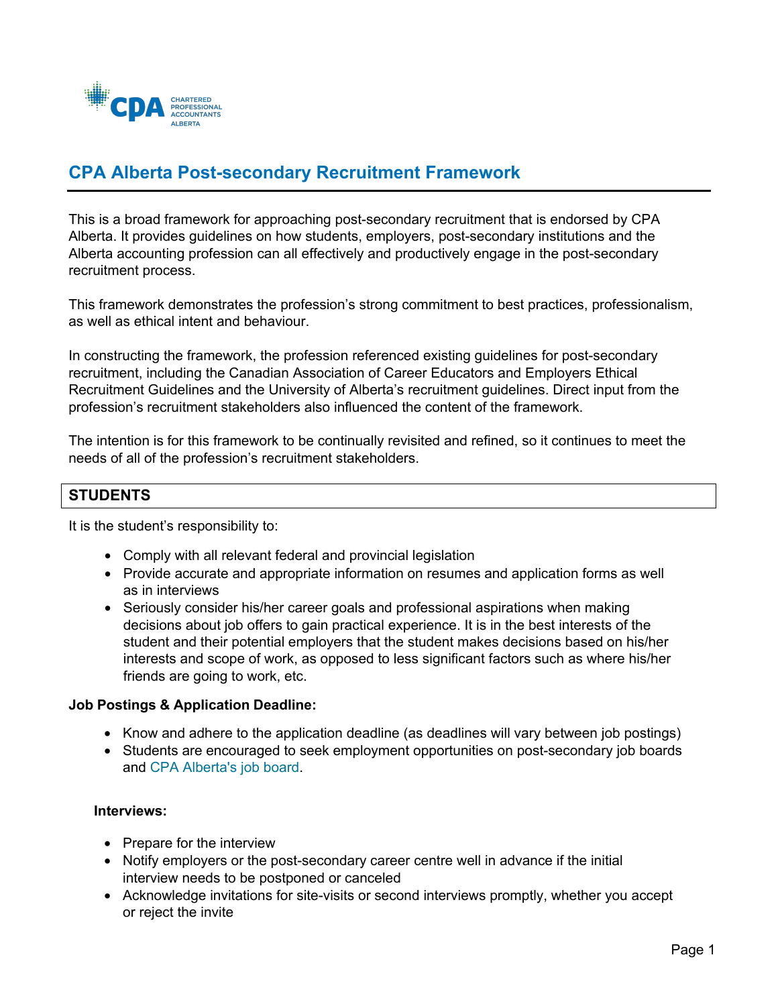

# **CPA Alberta Post-secondary Recruitment Framework**

This is a broad framework for approaching post-secondary recruitment that is endorsed by CPA Alberta. It provides guidelines on how students, employers, post-secondary institutions and the Alberta accounting profession can all effectively and productively engage in the post-secondary recruitment process.

This framework demonstrates the profession's strong commitment to best practices, professionalism, as well as ethical intent and behaviour.

In constructing the framework, the profession referenced existing guidelines for post-secondary recruitment, including the Canadian Association of Career Educators and Employers Ethical Recruitment Guidelines and the University of Alberta's recruitment guidelines. Direct input from the profession's recruitment stakeholders also influenced the content of the framework.

The intention is for this framework to be continually revisited and refined, so it continues to meet the needs of all of the profession's recruitment stakeholders.

## **STUDENTS**

It is the student's responsibility to:

- Comply with all relevant federal and provincial legislation
- Provide accurate and appropriate information on resumes and application forms as well as in interviews
- Seriously consider his/her career goals and professional aspirations when making decisions about job offers to gain practical experience. It is in the best interests of the student and their potential employers that the student makes decisions based on his/her interests and scope of work, as opposed to less significant factors such as where his/her friends are going to work, etc.

#### **Job Postings & Application Deadline:**

- Know and adhere to the application deadline (as deadlines will vary between job postings)
- Students are encouraged to seek employment opportunities on post-secondary job boards and [CPA Alberta's job board](http://jobs.cpaalberta.ca/accounting-jobs-in-alberta/index.html).

## **Interviews:**

- Prepare for the interview
- Notify employers or the post-secondary career centre well in advance if the initial interview needs to be postponed or canceled
- Acknowledge invitations for site-visits or second interviews promptly, whether you accept or reject the invite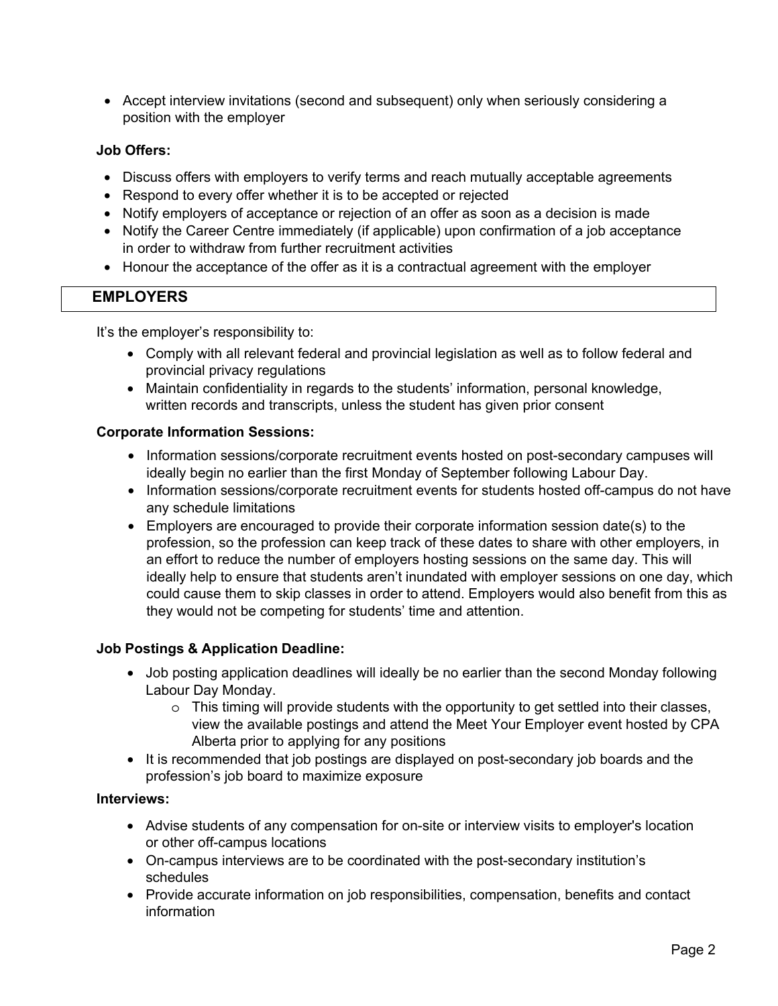• Accept interview invitations (second and subsequent) only when seriously considering a position with the employer

## **Job Offers:**

- Discuss offers with employers to verify terms and reach mutually acceptable agreements
- Respond to every offer whether it is to be accepted or rejected
- Notify employers of acceptance or rejection of an offer as soon as a decision is made
- Notify the Career Centre immediately (if applicable) upon confirmation of a job acceptance in order to withdraw from further recruitment activities
- Honour the acceptance of the offer as it is a contractual agreement with the employer

# **EMPLOYERS**

It's the employer's responsibility to:

- Comply with all relevant federal and provincial legislation as well as to follow federal and provincial privacy regulations
- Maintain confidentiality in regards to the students' information, personal knowledge, written records and transcripts, unless the student has given prior consent

#### **Corporate Information Sessions:**

- Information sessions/corporate recruitment events hosted on post-secondary campuses will ideally begin no earlier than the first Monday of September following Labour Day.
- Information sessions/corporate recruitment events for students hosted off-campus do not have any schedule limitations
- Employers are encouraged to provide their corporate information session date(s) to the profession, so the profession can keep track of these dates to share with other employers, in an effort to reduce the number of employers hosting sessions on the same day. This will ideally help to ensure that students aren't inundated with employer sessions on one day, which could cause them to skip classes in order to attend. Employers would also benefit from this as they would not be competing for students' time and attention.

# **Job Postings & Application Deadline:**

- Job posting application deadlines will ideally be no earlier than the second Monday following Labour Day Monday.
	- $\circ$  This timing will provide students with the opportunity to get settled into their classes, view the available postings and attend the Meet Your Employer event hosted by CPA Alberta prior to applying for any positions
- It is recommended that job postings are displayed on post-secondary job boards and the profession's job board to maximize exposure

#### **Interviews:**

- Advise students of any compensation for on-site or interview visits to employer's location or other off-campus locations
- On-campus interviews are to be coordinated with the post-secondary institution's schedules
- Provide accurate information on job responsibilities, compensation, benefits and contact information